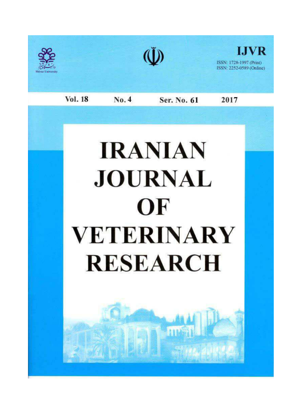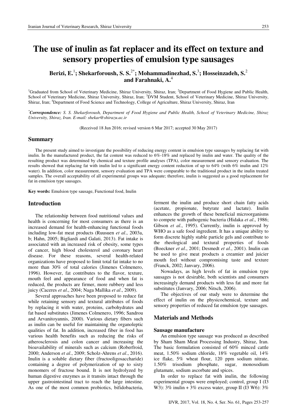# **The use of inulin as fat replacer and its effect on texture and sensory properties of emulsion type sausages**

**Berizi, E.**<sup>1</sup> **; Shekarforoush, S. S.**2\***; Mohammadinezhad, S.**<sup>3</sup> **; Hosseinzadeh, S.**<sup>2</sup> **and Farahnaki, A.**<sup>4</sup>

<sup>1</sup>Graduated from School of Veterinary Medicine, Shiraz University, Shiraz, Iran; <sup>2</sup>Department of Food Hygiene and Public Health, School of Veterinary Medicine, Shiraz University, Shiraz, Iran; <sup>3</sup>DVM Student, School of Veterinary Medicine, Shiraz University, Shiraz, Iran; <sup>4</sup>Department of Food Science and Technology, College of Agriculture, Shiraz University, Shiraz, Iran

*\*Correspondence: S. S. Shekarforoush, Department of Food Hygiene and Public Health, School of Veterinary Medicine, Shiraz University, Shiraz, Iran. E-mail: shekar@shirazu.ac.ir* 

(Received 18 Jun 2016; revised version 6 Mar 2017; accepted 30 May 2017)

### **Summary**

The present study aimed to investigate the possibility of reducing energy content in emulsion type sausages by replacing fat with inulin. In the manufactured product, the fat content was reduced to 6%-18% and replaced by inulin and water. The quality of the resulting product was determined by chemical and texture profile analyses (TPA), color measurement and sensory evaluation. The results showed that replacing fat with inulin led to a significant energy content reduction of up to 64% (with 6% inulin and 12% water). In addition, color measurement, sensory evaluation and TPA were comparable to the traditional product in the inulin treated samples. The overall acceptability of all experimental groups was adequate; therefore, inulin is suggested as a good replacement for fat in emulsion type sausages.

**Key words:** Emulsion type sausage, Functional food, Inulin

## **Introduction**

The relationship between food nutritional values and health is concerning for most consumers as there is an increased demand for health-enhancing functional foods including low-fat meat products (Ruusuen *et al*., 2003a, b; Hahn, 2005; Bigliardi and Galati, 2013). Fat intake is associated with an increased risk of obesity, some types of cancer, high blood cholesterol and coronary heart disease. For these reasons, several health-related organizations have proposed to limit total fat intake to no more than 30% of total calories (Jimenes Colmenero, 1996). However, fat contributes to the flavor, texture, mouth feel and appearance of food and when fat is reduced, the products are firmer, more rubbery and less juicy (Caceres *et al*., 2004; Naga Mallika *et al*., 2009).

Several approaches have been proposed to reduce fat while retaining sensory and textural attributes of foods by replacing it with water, proteins, carbohydrates and fat based substitutes (Jimenes Colmenero, 1996; Sandrou and Arvanitoyannis, 2000). Various dietary fibers such as inulin can be useful for maintaining the organoleptic qualities of fat. In addition, increased fiber in food has various health benefits such as reducing the risks of atherosclerosis and colon cancer and increasing the bioavailability of minerals such as calcium (Roberfroid, 2000; Anderson *et al*., 2009; Scholz-Ahrens *et al*., 2016). Inulin is a soluble dietary fiber (fructooligosaccharide) containing a degree of polymerization of up to sixty monomers of fructose bound. It is not hydrolyzed by human digestive enzymes as it transits intact through the upper gastrointestinal tract to reach the large intestine. As one of the most common probiotics, bifidobacteria, ferment the inulin and produce short chain fatty acids (acetate, propionate, butyrate and lactate). Inulin enhances the growth of these beneficial microorganisms to compete with pathogenic bacteria (Hidaka *et al*., 1986; Gibson *et al*., 1995). Currently, inulin is approved by WHO as a safe food ingredient. It has a unique ability to form discrete highly stable particle gels and contribute to the rheological and textural properties of foods (Boeckner *et al*., 2001; Desmedt *et al*., 2001). Inulin can be used to give meat products a creamier and juicier mouth feel without compromising taste and texture (Franck, 2002; Janvary, 2006).

Nowadays, as high levels of fat in emulsion type sausages is not desirable, both scientists and consumers increasingly demand products with less fat and more fat substitutes (Janvary, 2006; Nitsch, 2006).

The objectives of our study were to determine the effect of inulin on the physicochemical, texture and sensory properties of reduced fat emulsion type sausages.

# **Materials and Methods**

#### **Sausage manufacture**

An emulsion type sausage was produced as described by Sham Sham Meat Processing Industry, Shiraz, Iran. The basic formulation consisted of 60% minced cattle meat, 1.50% sodium chloride, 18% vegetable oil, 14% ice flake, 5% wheat flour, 120 ppm sodium nitrate, 1.50% trisodium phosphate, sugar, monosodium glutamate, sodium ascorbate and spices.

In order to replace fat with inulin, the following experimental groups were employed; control, group I (I3 W3):  $3\%$  inulin +  $3\%$  excess water, group II (I3 W6):  $3\%$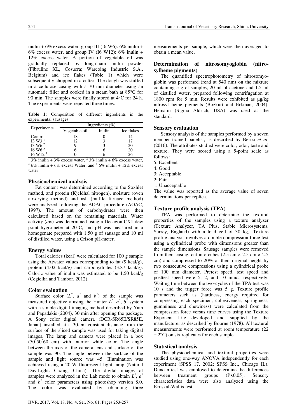inulin +  $6\%$  excess water, group III (I6 W6):  $6\%$  inulin + 6% excess water, and group IV (I6 W12): 6% inulin + 12% excess water. A portion of vegetable oil was gradually replaced by long-chain inulin powder (Fibruline XL, Cosucra; Warcoing Industrie S.A., Belgium) and ice flakes (Table 1) which were subsequently chopped in a cutter. The dough was stuffed in a cellulose casing with a 70 mm diameter using an automatic filler and cooked in a steam bath at 85°C for 90 min. The samples were finally stored at 4°C for 24 h. The experiments were repeated three times.

**Table 1:** Composition of different ingredients in the experimental sausages

|                                   | Ingredients $(\% )$ |        |            |  |  |  |
|-----------------------------------|---------------------|--------|------------|--|--|--|
| Experiments                       | Vegetable oil       | Inulin | Ice flakes |  |  |  |
| Control                           | 18                  |        | 14         |  |  |  |
| $13 W3$ <sup>1</sup>              | 12                  |        |            |  |  |  |
| $13 W6^2$                         |                     |        | 20         |  |  |  |
| 16 W6 <sup>3</sup>                |                     |        | 20         |  |  |  |
| $16$ W <sub>12</sub> <sup>4</sup> |                     |        |            |  |  |  |

 $\frac{1}{2}$  3% inulin + 3% excess water,  $\frac{2}{3}$ % inulin + 6% excess water,  $36\%$  inulin + 6% excess Water, and  $46\%$  inulin + 12% excess water

## **Physicochemical analysis**

Fat content was determined according to the Soxhlet method, and protein (Kjeldhal nitrogen), moisture (oven air-drying method) and ash (muffle furnace method) were analyzed following the AOAC procedure (AOAC, 1997). The amount of carbohydrates were then calculated based on the remaining materials. Water activity (*aw*) was determined using a Decagon CX1 dew point hygrometer at 20°C, and pH was measured in a homogenate prepared with 1.50 g of sausage and 10 ml of distilled water, using a Crison pH-meter.

# **Energy values**

Total calories (kcal) were calculated for 100 g sample using the Atwater values corresponding to fat (9 kcal/g), protein (4.02 kcal/g) and carbohydrates (3.87 kcal/g). Caloric value of inulin was estimated to be 1.50 kcal/g (Cegielka and Tambor, 2012).

## **Color evaluation**

Surface color  $(L^*, a^*$  and  $b^*)$  of the sample was measured objectively using the Hunter  $L^*$ ,  $a^*$ ,  $b^*$  system with a simple digital imaging method described by Yam and Papadakis (2004), 30 min after opening the package. A Sony color digital camera (DCR-SR65E/SR85E, Japan) installed at a 30-cm constant distance from the surface of the sliced sample was used for taking digital images. The lamp and camera were placed in a box (50\* 50\* 60 cm) with interior white color. The angle between the axis of the camera lens and surface of the sample was 90. The angle between the surface of the sample and light source was 45. Illumination was achieved using a 20-W fluorescent light lamp (Natural Day-Light. Cixing, China). The digital images of samples were analyzed in the Lab mode to obtain  $L^*$ ,  $a^*$ and  $b^*$  color parameters using photoshop version 8.0. The color was evaluated by obtaining three

measurements per sample, which were then averaged to obtain a mean value.

# **Determination of nitrosomyoglobin (nitrosylheme pigments)**

The quantified spectrophotometry of nitrosomyoglobin was performed (read at 540 nm) on the mixture containing 5 g of samples, 20 ml of acetone and 1.5 ml of distilled water, prepared following centrifugation at 1800 rpm for 5 min. Results were exhibited as μg/kg nitrosyl heme pigments (Bozkurt and Erkman, 2004). Hematin (Sigma Aldrich, USA) was used as the standard.

# **Sensory evaluation**

Sensory analysis of the samples performed by a seven member trained panelist, as described by Berizi *et al*. (2016). The attributes studied were color, odor, taste and texture. They were scored using a 5-point scale as follows:

- 5: Excellent
- 4: Good
- 3: Acceptable
- 2: Fair
- 1: Unacceptable

The value was reported as the average value of seven determinations per replica.

## **Texture profile analysis (TPA)**

TPA was performed to determine the textural properties of the samples using a texture analyzer (Texture Analyzer, TA Plus, Stable Microsystems, Surrey, England) with a load cell of 30 kg,. Texture profile analysis involves a double compression force test using a cylindrical probe with dimensions greater than the sample dimensions. Sausage samples were removed from their casing, cut into cubes (2.5 cm  $\times$  2.5 cm  $\times$  2.5 cm) and compressed to 20% of their original height by two consecutive compressions using a cylindrical probe of 100 mm diameter. Pretest speed, test speed and posttest speed were 5, 2, and 10 mm/s, respectively. Waiting time between the two-cycles of the TPA test was 10 s and the trigger force was 5 g. Texture profile parameters such as (hardness, energy required for compressing each specimen, cohesiveness, springiness, gumminess and chewiness) were calculated from the compression force versus time curves using the Texture Exponent Lite developed and supplied by the manufacturer as described by Bourne (1978). All textural measurements were performed at room temperature (22  $\pm$  2°C) on six replicates for each sample.

## **Statistical analysis**

The physicochemical and textural properties were studied using one-way ANOVA independently for each experiment (SPSS 17, 2002; SPSS Inc., Chicago IL). Duncan test was employed to determine the differences between treatment groups (P<0.05). Sensory characteristics data were also analyzed using the Kruskal-Wallis test.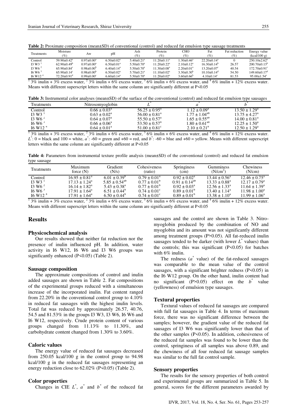| i<br>×<br>۰, | I<br>۰.<br>× |
|--------------|--------------|
|              |              |

| <b>Table 2:</b> Proximate composition (mean±SD) of conventional (control) and reduced fat emulsion type sausage treatments |
|----------------------------------------------------------------------------------------------------------------------------|
|----------------------------------------------------------------------------------------------------------------------------|

| Treatments            | Moisture<br>(%)               | Aw                    | pH                           | Ash<br>$(\%)$                | Protein<br>$(\%)$             | СНО<br>(%)              | Fat<br>$(\%)$                 | Fat reduction<br>$(\%)$ | Energy value<br>(kcal/100 g)   |
|-----------------------|-------------------------------|-----------------------|------------------------------|------------------------------|-------------------------------|-------------------------|-------------------------------|-------------------------|--------------------------------|
| Control               | $59.90 \pm 0.42$ <sup>a</sup> | $0.97 \pm 0.00^a$     | $6.50 \pm 0.02$ <sup>a</sup> | $5.40 \pm 0.21$ <sup>a</sup> | $11.20 \pm 0.11^a$            | $1.30 \pm 0.46^a$       | $22.20 \pm 0.14$ <sup>a</sup> |                         | $250.10 \pm 2.62^a$            |
| $13 W3$ <sup>1</sup>  | $62.90 \pm 0.49^b$            | $0.97 \pm 0.00^a$     | $6.50 \pm 0.01^a$            | $5.50 \pm 0.70$ <sup>a</sup> | $11.20 \pm 0.22$ <sup>a</sup> | $2.10 \pm 0.12^a$       | $16.30\pm0.14^b$              | 26.57                   | $200.70\pm0.13^b$              |
| I3 W <sub>6</sub> $2$ | $65.90 \pm 0.84$ <sup>c</sup> | $0.98 \pm 0.00^b$     | $6.40 \pm 0.14$ <sup>a</sup> | $5.50 \pm 0.70$ <sup>a</sup> | $11.30 \pm 0.08^a$            | $2.20 \pm 0.01^a$       | $13.20 \pm 0.07$ <sup>c</sup> | 40.54                   | $172.70 \pm 0.91$ <sup>c</sup> |
| 16 W6 <sup>3</sup>    | $65.90 \pm 0.14$ <sup>c</sup> | $0.98 \pm 0.00^b$     | $6.50 \pm 0.02$ <sup>a</sup> | $5.70 \pm 0.21$ <sup>a</sup> | $11.10 \pm 0.02^a$            | $3.30\pm0.30^{b}$       | $10.10 \pm 0.14$ <sup>d</sup> | 54.50                   | $149.60 \pm 0.17$ <sup>d</sup> |
| 16 W12 <sup>4</sup>   | $72.20+0.91d$                 | $0.99 + 0.00^{\circ}$ | $6.60 \pm 0.14$ <sup>a</sup> | $5.50 \pm 0.70$ <sup>a</sup> | $11.20 + 0.02a$               | $3.60 \pm 0.66^{\circ}$ | 4 10+0 $14^e$                 | 81.53                   | $95.00 \pm 1.54$ <sup>e</sup>  |
|                       |                               |                       |                              |                              |                               |                         |                               |                         |                                |

<sup>1</sup> 3% inulin + 3% excess water, <sup>2</sup> 3% inulin + 6% excess water, <sup>3</sup> 6% inulin + 6% excess water, and <sup>4</sup> 6% inulin + 12% excess water. Means with different superscript letters within the same column are significantly different at P<0.05

**Table 3:** Instrumental color analyses (mean±SD) of the surface of the conventional (control) and reduced fat emulsion type sausages

| Treatments                     | Nitrosomyoglobin        |                               |                         |                               |
|--------------------------------|-------------------------|-------------------------------|-------------------------|-------------------------------|
| Control                        | $0.66 \pm 0.03^{\circ}$ | $56.25 \pm 0.95^{\text{a}}$   | $1.12 \pm 0.09^{\circ}$ | $13.50 \pm 1.29^{\circ}$      |
| $13 W3$ <sup>1</sup>           | $0.63 \pm 0.02^{\circ}$ | $56.00 \pm 0.81$ <sup>a</sup> | $1.77 \pm 1.04^{ab}$    | $13.75 \pm 4.27^{\circ}$      |
| I3 W <sub>6</sub> $^2$         | $0.64 \pm 0.07^{\circ}$ | $55.50 \pm 0.57^{\circ}$      | $1.65 \pm 0.55^{ab}$    | $14.00 \pm 0.81$ <sup>a</sup> |
| 16 W6 <sup>3</sup>             | $0.66 \pm 0.06^{\circ}$ | $53.50 \pm 0.57^{\circ}$      | $1.80 \pm 0.61^{ab}$    | $12.25 \pm 1.50^{\circ}$      |
| $16 \text{ W}$ $12 \text{ }^4$ | $0.64 \pm 0.01^{\circ}$ | $51.00 \pm 0.81$ <sup>c</sup> | $2.10 \pm 0.21^{\circ}$ | $12.50 \pm 1.29^{\circ}$      |
| $  -$                          | - - - -                 | - - - -                       |                         | .                             |

<sup>1</sup> 3% inulin + 3% excess water, <sup>2</sup> 3% inulin + 6% excess water, <sup>3</sup> 6% inulin + 6% excess water, and <sup>4</sup> 6% inulin + 12% excess water.  $L^*$ : 0 = black and 100 = white,  $a^*$ : -60 = green and +60 = red, and  $b^*$ : -60 = blue and +60 = yellow. Means with different superscript letters within the same column are significantly different at P<0.05

**Table 4:** Parameters from instrumental texture profile analysis (mean±SD) of the conventional (control) and reduced fat emulsion type sausage

| <b>Treatments</b>              | Maximum<br>force $(N)$      | Gradient<br>(N/s)          | Cohesiveness<br>(ratio) | <b>Springiness</b><br>(cm) | <b>Gumminess</b><br>(N/cm <sup>2</sup> ) | <b>Chewiness</b><br>(N/cm)  |
|--------------------------------|-----------------------------|----------------------------|-------------------------|----------------------------|------------------------------------------|-----------------------------|
| Control                        | $16.95 \pm 0.81^{\circ}$    | $6.01 + 0.39^b$            | $0.79 \pm 0.01^{\circ}$ | $0.92 \pm 0.02^{\text{a}}$ | $13.44 \pm 0.56^{\circ}$                 | $12.46 \pm 0.75^{\circ}$    |
| $13 W3$ <sup>1</sup>           | $17.13 + 1.24$ <sup>a</sup> | $5.85 + 0.54^{20}$         | $0.77 \pm 0.01^{\circ}$ | $0.91 + 0.14^{ab}$         | $13.33 \pm 0.88^{\text{a}}$              | $12.17 \pm 0.79^{\text{a}}$ |
| 13 W6 <sup>2</sup>             | $16.14 \pm 1.82^{\text{a}}$ | $5.43 + 0.38$ <sup>a</sup> | $0.77 \pm 0.01^b$       | $0.92 \pm 0.03^{\circ}$    | $12.56 \pm 1.33^{\circ}$                 | $11.64 + 1.39a$             |
| 16 W6 <sup>3</sup>             | $17.91 \pm 1.64^{\circ}$    | $6.51 + 0.44^b$            | $0.74 \pm 0.01^{\circ}$ | $0.89 \pm 0.01^{\circ}$    | $13.40 + 1.14^a$                         | $11.98 \pm 1.00^{\circ}$    |
| $16 \text{ W}$ $12 \text{ }^4$ | $17.91 \pm 1.64^{\circ}$    | $6.50 + 0.44^b$            | $0.74 \pm 0.01^{\circ}$ | $0.89 \pm 0.01^{\circ}$    | $13.38 \pm 1.10^a$                       | $11.99 \pm 1.06^{\circ}$    |

<sup>1</sup> 3% inulin + 3% excess water, <sup>2</sup> 3% inulin + 6% excess water, <sup>3</sup> 6% inulin + 6% excess water, and <sup>4</sup> 6% inulin + 12% excess water. Means with different superscript letters within the same column are significantly different at P<0.05

# **Results**

#### **Physicochemical analysis**

Our results showed that neither fat reduction nor the presence of inulin influenced pH. In addition, water activity in I6 W12, I6 W6 and I3 W6 groups was significantly enhanced (P<0.05) (Table 2).

#### **Sausage composition**

The approximate compositions of control and inulin added sausages are shown in Table 2. Fat compositions of the experimental groups reduced with a simultaneous increase of the incorporated inulin. Fat content ranged from 22.20% in the conventional control group to 4.10% in reduced fat sausages with the highest inulin levels. Total fat was reduced by approximately 26.57, 40.76, 54.5 and 81.53% in the groups I3 W3, I3 W6, I6 W6 and I6 W12, respectively. Crude protein content of various groups changed from 11.13% to 11.30%, and carbohydrate content changed from 1.30% to 3.60%.

# **Caloric values**

The energy value of reduced fat sausages decreased from 250.05 kcal/100 g in the control group to 94.98 kcal/100 g in the reduced fat sausages representing an energy reduction close to 62.02% (P<0.05) (Table 2).

#### **Color properties**

Changes in CIE  $L^*$ ,  $a^*$  and  $b^*$  of the reduced fat

sausages and the control are shown in Table 3. Nitromyoglobin produced by the combination of NO and myoglobin and its amount was not significantly different among treatment groups (P>0.05). All fat-reduced inulin sausages tended to be darker (with lower  $L^*$  values) than the controls; this was significant  $(P<0.05)$  for batches with 6% inulin.

The redness  $(a^*$  value) of the fat-reduced sausages was comparable to the mean value of the control sausages, with a significant brighter redness (P<0.05) in the I6 W12 group. On the other hand, inulin content had no significant (P>0.05) effect on the  $b^*$  value (yellowness) of emulsion type sausages.

#### **Textural properties**

Textural values of reduced fat sausages are compared with full fat sausages in Table 4. In terms of maximum force, there was no significant difference between the samples; however, the gradient value of the reduced fat sausages of I3 W6 was significantly lower than that of the other samples (P<0.05). In addition, cohesiveness of the reduced fat samples was found to be lower than the control, springiness of all samples was above 0.89, and the chewiness of all four reduced fat sausage samples was similar to the full fat control sample.

#### **Sensory properties**

The results for the sensory properties of both control and experimental groups are summarized in Table 5. In general, scores for the different parameters awarded by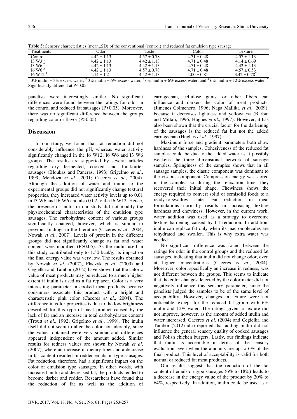| <b>Treatments</b>    | <b>Ddor</b>     | Taste           | Color           | Texture                      |
|----------------------|-----------------|-----------------|-----------------|------------------------------|
| Control              | $4.42 \pm 1.13$ | $4.57 \pm 0.78$ | $4.71 \pm 0.48$ | $4.57 \pm 1.13$              |
| $13 W3$ <sup>1</sup> | $4.42 \pm 1.13$ | $4.42 \pm 1.13$ | $4.71 \pm 0.48$ | $4.14 \pm 0.69$              |
| $13 W6^2$            | $4.42 \pm 1.13$ | $4.42 \pm 1.13$ | $4.71 \pm 0.48$ | $4.42 \pm 1.13$              |
| 16 W6 <sup>3</sup>   | $4.42 \pm 1.13$ | $4.57 \pm 0.78$ | $4.71 \pm 0.48$ | $4.57 \pm 0.53$              |
| $16 \text{ W}12^4$   | $4.14 \pm 1.21$ | $4.42 \pm 1.13$ | $4.00 \pm 0.81$ | $3.42 \pm 0.78$ <sup>*</sup> |

**Table 5:** Sensory characteristics (mean±SD) of the conventional (control) and reduced fat emulsion type sausage

 $13\%$  inulin + 3% excess water,  $23\%$  inulin + 6% excess water,  $36\%$  inulin + 6% excess water, and  $46\%$  inulin + 12% excess water. Significantly different at P<0.05

panelists were interestingly similar. No significant differences were found between the ratings for odor in the control and reduced fat sausages (P>0.05). Moreover, there was no significant difference between the groups regarding color or flavor (P>0.05).

# **Discussion**

In our study, we found that fat reduction did not considerably influence the pH, whereas water activity significantly changed in the I6 W12, I6 W6 and I3 W6 groups. The results are supported by several articles regarding dry fermented, cooked and frankfurter sausages (Bloukas and Paneras, 1993; Grigelmo *et al*., 1999; Mendoza *et al*., 2001; Caceres *et al*., 2004). Although the addition of water and inulin to the experimental groups did not significantly change textural properties, they increased water activity levels up to 0.01 in I3 W6 and I6 W6 and also 0.02 to the I6 W12. Hence, the presence of inulin in our study did not modify the physicochemical characteristics of the emulsion type sausages. The carbohydrate content of various groups significantly changed, however, which is similar to previous findings in the literature (Caceres *et al*., 2004; Nowak *et al*., 2007). Levels of protein in the different groups did not significantly change as fat and water content were modified (P>0.05). As the inulin used in this study contributed only to 1.50 kcal/g, its impact on the final energy value was very low. The results obtained by Nowak *et al*. (2007), Flaczyk *et al*. (2009) and Cegielka and Tambor (2012) have shown that the caloric value of meat products may be reduced to a much higher extent if inulin is used as a fat replacer. Color is a very interesting parameter in cooked meat products because consumers associate this product with a bright and characteristic pink color (Caceres *et al*., 2004). The difference in color properties is due to the low brightness described for this type of meat product caused by the lack of fat and an increase in total carbohydrates content (Troutt *et al*., 1992; Grigelmo *et al*., 1999). The inulin itself did not seem to alter the color considerably, since the values obtained were very similar and differences appeared independent of the amount added. Similar results for redness values are shown by Nowak *et al*. (2007), where an increase in dietary fiber and a decrease in fat content resulted in redder emulsion type sausages. Fat reduction, therefore, had a significant impact on the color of emulsion type sausages. In other words, with increased inulin and decreased fat, the products tended to become darker and redder. Researchers have found that the reduction of fat as well as the addition of

carrageenan, cellulose gums, or other fibers can influence and darken the color of meat products. (Jimenes Colmenero, 1996; Naga Mallika *et al*., 2009). because it decreases lightness and yellowness (Barbut and Mittali, 1996; Hughes *et al*., 1997). However, it has also been shown that the crucial factor for the darkening of the sausages is the reduced fat but not the added carrageenan (Hughes *et al*., 1997).

Maximum force and gradient parameters both show hardness of the samples. Cohesiveness of the reduced fat samples could be due to the added water as it possibly weakens the three dimensional network of sausage samples. Springiness of the samples shows that in all sausage samples, the elastic component was dominant to the viscous component. Compression energy was stored in the samples so during the relaxation time, they recovered their initial shape. Chewiness shows the energy required to convert solid or semisolid foods to a ready-to-swallow state. Fat reduction in meat formulations normally results in increasing texture hardness and chewiness. However, in the current work, water addition was used as a strategy to overcome texture hardening caused by fat reduction. In addition, inulin can replace fat only when its macromolecules are rehydrated and swollen. This is why extra water was needed.

No significant difference was found between the ratings for odor in the control groups and the reduced fat sausages, indicating that inulin did not change odor, even at higher concentrations (Caceres *et al*., 2004). Moreover, color, specifically an increase in redness, was not different between the groups. This seems to indicate that the color changes detected by the colorimeter did not negatively influence this sensory parameter, since the panelists judged the samples to be of the same level of acceptability. However, changes in texture were not noticeable, except for the reduced fat group with 6% inulin and 12% water. The ratings given to texture did not improve, however, as the amount of added inulin and water increased. Caceres *et al*. (2004) and Cegielka and Tambor (2012) also reported that adding inulin did not influence the general sensory quality of cooked sausages and Polish chicken burgers. Lastly, our findings indicate that inulin is acceptable in terms of the sensory evaluation, even when the amounts are up to 6% of the final product. This level of acceptability is valid for both normal or reduced fat meat products.

Our results suggest that the reduction of the fat content of emulsion type sausages (6% to 18%) leads to a decrease in the energy value of the product by 20% to 64%, respectively. In addition, inulin could be used as a